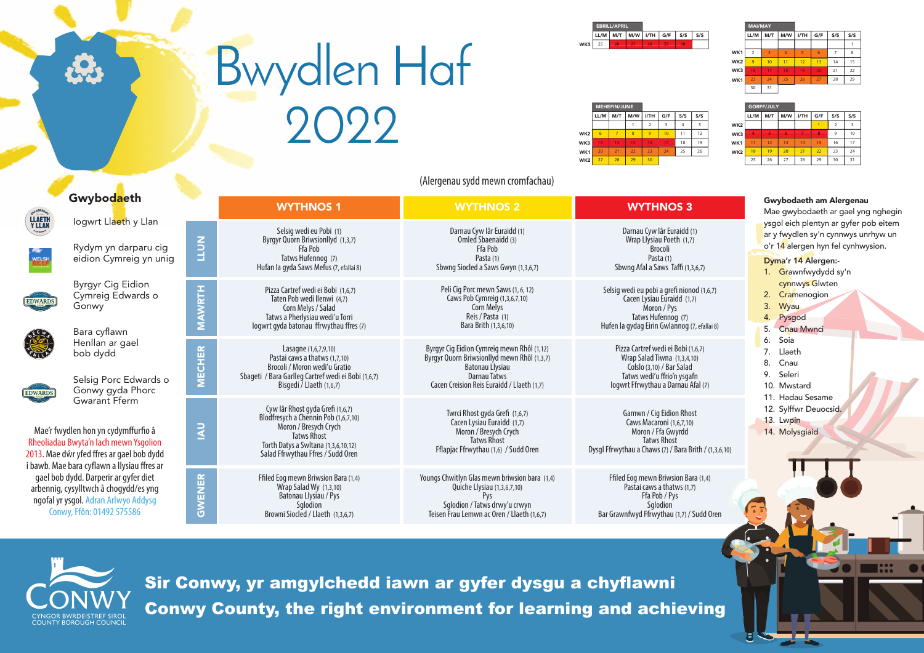Sir Conwy, yr amgylchedd iawn ar gyfer dysgu a chyflawni Conwy County, the right environment for learning and achieving

|                 | LL/M | M/T | M/W | I/TH | G/F | S/S            | S/S |  |  |  |
|-----------------|------|-----|-----|------|-----|----------------|-----|--|--|--|
| WK <sub>2</sub> |      |     |     |      |     | $\overline{2}$ | 3   |  |  |  |
| WK3             | z    |     | 6   |      | я   | 9              | 10  |  |  |  |
| WK1             | 11   | 12  | 13  | 14   | 15  | 16             | 17  |  |  |  |
| WK <sub>2</sub> | 18   | 19  | 20  | 21   | 22  | 23             | 24  |  |  |  |
|                 | 25   | 26  | 27  | 28   | 29  | 30             | 31  |  |  |  |

GORFF/JULY

|                 |      | <b>MEHEFIN/JUNE</b> |     |      |     |     |     |
|-----------------|------|---------------------|-----|------|-----|-----|-----|
|                 | LL/M | M/T                 | M/W | I/TH | G/F | S/S | S/S |
|                 |      |                     |     | 2    | 3   |     | 5   |
| WK <sub>2</sub> | 6    | 7                   | 8   | 9    | 10  | 11  | 12  |
| WK3             | 13   | 14                  | 15  | 16   | 17  | 18  | 19  |
| WK1             | 20   | 21                  | 22  | 23   | 24  | 25  | 26  |
| WK <sub>2</sub> | 27   | 28                  | 29  | 30   |     |     |     |

| <b>EBRILL/APRIL</b> |     |     |      |     |     |     |     | <b>MAI/MAY</b> |     |     |      |     |     |     |
|---------------------|-----|-----|------|-----|-----|-----|-----|----------------|-----|-----|------|-----|-----|-----|
| LL/M                | M/T | M/W | I/TH | G/F | S/S | S/S |     | LL/M           | M/T | M/W | I/TH | G/F | S/S | S/S |
| 25                  | 26  | 27  | 28   | 29  | 30  |     |     |                |     |     |      |     |     |     |
|                     |     |     |      |     |     |     | WK1 | $\overline{2}$ | 3   | 4   | 5    | 6   | 7   | 8   |
|                     |     |     |      |     |     |     | WK2 | 9              | 10  | 11  | 12   | 13  | 14  | 15  |
|                     |     |     |      |     |     |     | WK3 | 16             | 17  | 18  | 19   | 20  | 21  | 22  |
|                     |     |     |      |     |     |     | WK1 | 23             | 24  | 25  | 26   | 27  | 28  | 29  |
|                     |     |     |      |     |     |     |     | 30             | 31  |     |      |     |     |     |

| /S             |  |
|----------------|--|
| 5              |  |
| $\overline{2}$ |  |
| 19             |  |
| 26             |  |
|                |  |



|                                                                                                                                                     |                                                                                                                                                                                                  |                                 |                                                                                                                                                                                                     | (Alergenau sydd mewn cromfachau)                                                                                                                                           |                                                                                                                                                                     |                                                                                                                                                                   |
|-----------------------------------------------------------------------------------------------------------------------------------------------------|--------------------------------------------------------------------------------------------------------------------------------------------------------------------------------------------------|---------------------------------|-----------------------------------------------------------------------------------------------------------------------------------------------------------------------------------------------------|----------------------------------------------------------------------------------------------------------------------------------------------------------------------------|---------------------------------------------------------------------------------------------------------------------------------------------------------------------|-------------------------------------------------------------------------------------------------------------------------------------------------------------------|
|                                                                                                                                                     | Gwybodaeth                                                                                                                                                                                       |                                 | <b>WYTHNOS1</b>                                                                                                                                                                                     | <b>WYTHNOS 2</b>                                                                                                                                                           | <b>WYTHNOS 3</b>                                                                                                                                                    | Gwybodaeth am Alergenau<br>Mae gwybodaeth ar gael yng nghegin                                                                                                     |
| LLAETH<br>Y LLAN                                                                                                                                    | logwrt Llaeth y Llan<br>Rydym yn darparu cig<br>eidion Cymreig yn unig                                                                                                                           | NUTT                            | Selsig wedi eu Pobi (1)<br>Byrgyr Quorn Briwsionllyd (1,3,7)<br>Ffa Pob<br>Tatws Hufennog (7)<br>Hufan la gyda Saws Mefus (7, efallai 8)                                                            | Darnau Cyw lâr Euraidd (1)<br>Omled Sbaenaidd (3)<br>Ffa Pob<br>Pasta (1)<br>Sbwng Siocled a Saws Gwyn (1,3,6,7)                                                           | Darnau Cyw Iâr Euraidd (1)<br>Wrap Llysiau Poeth (1,7)<br>Brocoli<br>Pasta (1)<br>Sbwng Afal a Saws Taffi (1,3,6,7)                                                 | ysgol eich plentyn ar gyfer pob eitem<br>ar y fwydlen sy'n cynnwys unrhyw un<br>o'r 14 alergen hyn fel cynhwysion.<br>Dyma'r 14 Alergen:-<br>1. Grawnfwydydd sy'n |
| <b>EDWARDS</b>                                                                                                                                      | <b>Byrgyr Cig Eidion</b><br>Cymreig Edwards o<br>Gonwy<br>Bara cyflawn                                                                                                                           | <b>RTH</b>                      | Pizza Cartref wedi ei Bobi (1,6,7)<br>Taten Pob wedi llenwi (4,7)<br>Corn Melys / Salad<br>Tatws a Pherlysiau wedi'u Torri<br>logwrt gyda batonau ffrwythau ffres (7)                               | Peli Cig Porc mewn Saws (1, 6, 12)<br>Caws Pob Cymreig (1,3,6,7,10)<br>Corn Melys<br>Reis / Pasta (1)<br>Bara Brith (1,3,6,10)                                             | Selsig wedi eu pobi a grefi nionod (1,6,7)<br>Cacen Lysiau Euraidd (1,7)<br>Moron / Pys<br>Tatws Hufennog (7)<br>Hufen la gydag Eirin Gwlannog (7, efallai 8)       | cynnwys Glwten<br>2. Cramenogion<br>3.<br>Wyau<br>4. Pysgod<br>5. Cnau Mwnci                                                                                      |
| <b>EDWARDS</b>                                                                                                                                      | Henllan ar gael<br>bob dydd<br>Selsig Porc Edwards o<br>Gonwy gyda Phorc                                                                                                                         | CHER<br>Ě                       | Lasagne (1,6,7,9,10)<br>Pastai caws a thatws (1,7,10)<br>Brocoli / Moron wedi'u Gratio<br>Sbageti / Bara Garlleg Cartref wedi ei Bobi (1,6,7)<br>Bisgedi / Llaeth (1,6,7)                           | Byrgyr Cig Eidion Cymreig mewn Rhôl (1,12)<br>Byrgyr Quorn Briwsionllyd mewn Rhôl (1,3,7)<br>Batonau Llysiau<br>Darnau Tatws<br>Cacen Creision Reis Euraidd / Llaeth (1,7) | Pizza Cartref wedi ei Bobi (1,6,7)<br>Wrap Salad Tiwna (1,3,4,10)<br>Colslo (3,10) / Bar Salad<br>Tatws wedi'u ffrio'n ysgafn<br>logwrt Ffrwythau a Darnau Afal (7) | 6. Soia<br>7. Llaeth<br>8.<br>Cnau<br>9. Seleri<br>10. Mwstard                                                                                                    |
|                                                                                                                                                     | <b>Gwarant Fferm</b><br>Mae'r fwydlen hon yn cydymffurfio â<br>Rheoliadau Bwyta'n lach mewn Ysgolion<br>2013. Mae dŵr yfed ffres ar gael bob dydd<br>i bawb. Mae bara cyflawn a llysiau ffres ar |                                 | Cyw lâr Rhost gyda Grefi (1,6,7)<br>Blodfresych a Chennin Pob (1,6,7,10)<br>Moron / Bresych Crych<br><b>Tatws Rhost</b><br>Torth Datys a Swltana (1,3,6,10,12)<br>Salad Ffrwythau Ffres / Sudd Oren | Twrci Rhost gyda Grefi (1,6,7)<br>Cacen Lysiau Euraidd (1,7)<br>Moron / Bresych Crych<br><b>Tatws Rhost</b><br>Fflapjac Ffrwythau (1,6) / Sudd Oren                        | Gamwn / Cig Eidion Rhost<br>Caws Macaroni (1,6,7,10)<br>Moron / Ffa Gwyrdd<br><b>Tatws Rhost</b><br>Dysgl Ffrwythau a Chaws (7) / Bara Brith / (1,3,6,10)           | 11. Hadau Sesame<br>12. Sylffwr Deuocsid.<br>13. Lwpin<br>14. Molysgiaid                                                                                          |
| gael bob dydd. Darperir ar gyfer diet<br>arbennig, cysylltwch â chogydd/es yng<br>ngofal yr ysgol. Adran Arlwyo Addysg<br>Conwy, Ffôn: 01492 575586 |                                                                                                                                                                                                  | ENER<br>$\overline{\mathsf{S}}$ | Ffiled Eog mewn Briwsion Bara (1,4)<br>Wrap Salad Wy (1,3,10)<br>Batonau Llysiau / Pys<br>Sqlodion<br>Browni Siocled / Llaeth (1,3,6,7)                                                             | Youngs Chwitlyn Glas mewn briwsion bara (1,4)<br>Quiche Llysiau (1,3,6,7,10)<br>Pys<br>Sglodion / Tatws drwy'u crwyn<br>Teisen Frau Lemwn ac Oren / Llaeth (1,6,7)         | Ffiled Eog mewn Briwsion Bara (1,4)<br>Pastai caws a thatws (1,7)<br>Ffa Pob / Pys<br>Sqlodion<br>Bar Grawnfwyd Ffrwythau (1,7) / Sudd Oren                         |                                                                                                                                                                   |
|                                                                                                                                                     |                                                                                                                                                                                                  |                                 |                                                                                                                                                                                                     |                                                                                                                                                                            |                                                                                                                                                                     |                                                                                                                                                                   |



## Bwydlen Haf 2022